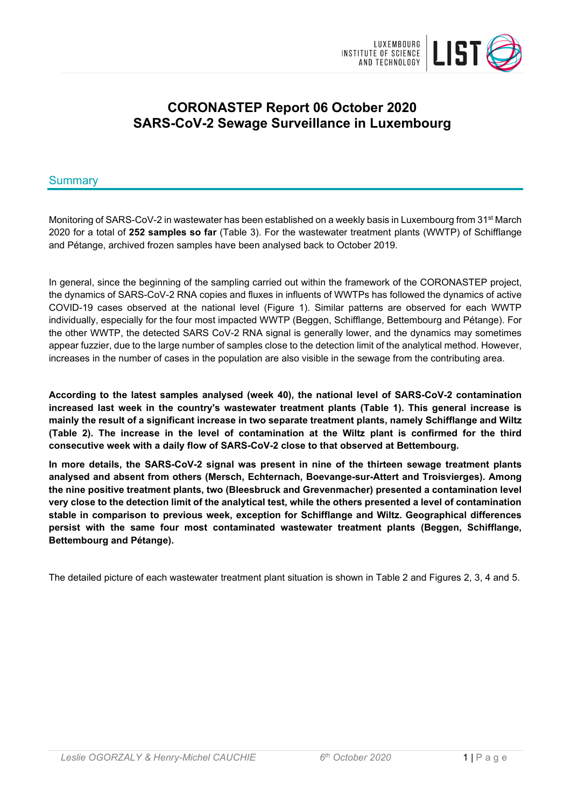

# **CORONASTEP Report 06 October 2020 SARS-CoV-2 Sewage Surveillance in Luxembourg**

## Summary

Monitoring of SARS-CoV-2 in wastewater has been established on a weekly basis in Luxembourg from 31<sup>st</sup> March 2020 for a total of **252 samples so far** (Table 3). For the wastewater treatment plants (WWTP) of Schifflange and Pétange, archived frozen samples have been analysed back to October 2019.

In general, since the beginning of the sampling carried out within the framework of the CORONASTEP project, the dynamics of SARS-CoV-2 RNA copies and fluxes in influents of WWTPs has followed the dynamics of active COVID-19 cases observed at the national level (Figure 1). Similar patterns are observed for each WWTP individually, especially for the four most impacted WWTP (Beggen, Schifflange, Bettembourg and Pétange). For the other WWTP, the detected SARS CoV-2 RNA signal is generally lower, and the dynamics may sometimes appear fuzzier, due to the large number of samples close to the detection limit of the analytical method. However, increases in the number of cases in the population are also visible in the sewage from the contributing area.

**According to the latest samples analysed (week 40), the national level of SARS-CoV-2 contamination increased last week in the country's wastewater treatment plants (Table 1). This general increase is mainly the result of a significant increase in two separate treatment plants, namely Schifflange and Wiltz (Table 2). The increase in the level of contamination at the Wiltz plant is confirmed for the third consecutive week with a daily flow of SARS-CoV-2 close to that observed at Bettembourg.**

**In more details, the SARS-CoV-2 signal was present in nine of the thirteen sewage treatment plants analysed and absent from others (Mersch, Echternach, Boevange-sur-Attert and Troisvierges). Among the nine positive treatment plants, two (Bleesbruck and Grevenmacher) presented a contamination level very close to the detection limit of the analytical test, while the others presented a level of contamination stable in comparison to previous week, exception for Schifflange and Wiltz. Geographical differences persist with the same four most contaminated wastewater treatment plants (Beggen, Schifflange, Bettembourg and Pétange).**

The detailed picture of each wastewater treatment plant situation is shown in Table 2 and Figures 2, 3, 4 and 5.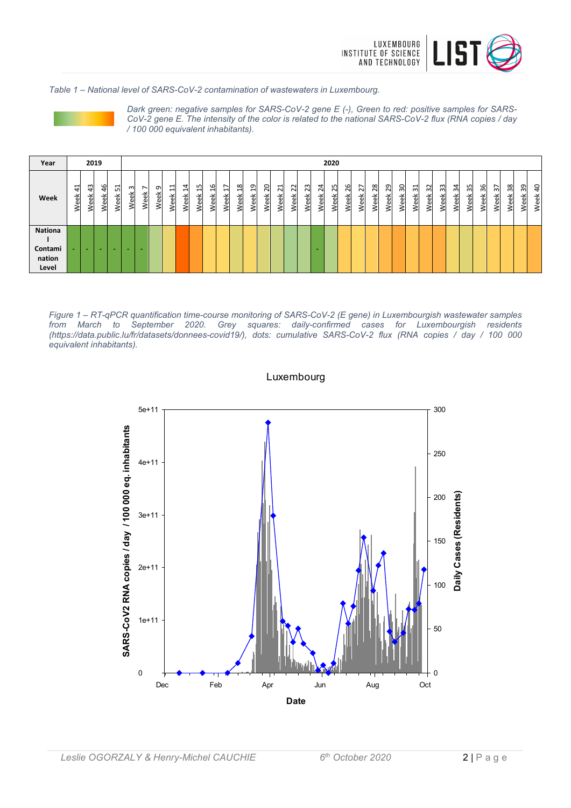

*Table 1 – National level of SARS-CoV-2 contamination of wastewaters in Luxembourg.*



*Dark green: negative samples for SARS-CoV-2 gene E (-), Green to red: positive samples for SARS-CoV-2 gene E. The intensity of the color is related to the national SARS-CoV-2 flux (RNA copies / day / 100 000 equivalent inhabitants).*

| Year                                         |                                           | 2019       |            |           |                  |      |           |        |                |                                 |        |                             |                                 |                            |                                    |                                                |                            |                       |            | 2020       |            |            |            |            |            |                                          |                             |             |            |            |              |            |            |           |                        |
|----------------------------------------------|-------------------------------------------|------------|------------|-----------|------------------|------|-----------|--------|----------------|---------------------------------|--------|-----------------------------|---------------------------------|----------------------------|------------------------------------|------------------------------------------------|----------------------------|-----------------------|------------|------------|------------|------------|------------|------------|------------|------------------------------------------|-----------------------------|-------------|------------|------------|--------------|------------|------------|-----------|------------------------|
| Week                                         | $\overline{\phantom{0}}$<br>4<br>eek<br>≷ | 43<br>Week | 46<br>Week | 임<br>Week | m<br>š<br>.<br>≷ | Week | ᡡ<br>Week | ⊣<br>ě | 4<br>⊣<br>'eek | ഗ<br>↽<br>$\mathbf \omega$<br>e | ဖ<br>− | ↖<br>ᆸ<br>$\mathbf{a}$<br>≤ | $\infty$<br>↽<br>$\mathfrak{a}$ | ത<br>$\mathbf -$<br>৽<br>Φ | $\circ$<br>$\sim$<br>읫<br>$\omega$ | $\overline{\phantom{0}}$<br>$\sim$<br>ά<br>уе) | $\sim$<br>$\sim$<br>る<br>Š | S<br>$\sim$<br>畜<br>Š | 24<br>Week | 25<br>Week | 26<br>Week | 27<br>Week | 28<br>Week | 29<br>Week | 30<br>Week | ᆔ<br>$\sim$<br>$\breve{\mathrm{e}}$<br>Š | $\sim$<br>ო<br>ăφ<br>Φ<br>s | ౢ<br>る<br>Š | 34<br>Week | 35<br>Week | 36<br>읫<br>Š | 57<br>Week | 38<br>Week | ဥ<br>Week | $\overline{a}$<br>Week |
| <b>Nationa</b><br>Contami<br>nation<br>Level |                                           | $\sim$     |            |           |                  |      |           |        |                |                                 |        |                             |                                 |                            |                                    |                                                |                            |                       |            |            |            |            |            |            |            |                                          |                             |             |            |            |              |            |            |           |                        |

*Figure 1 – RT-qPCR quantification time-course monitoring of SARS-CoV-2 (E gene) in Luxembourgish wastewater samples from March to September 2020. Grey squares: daily-confirmed cases for Luxembourgish residents (https://data.public.lu/fr/datasets/donnees-covid19/), dots: cumulative SARS-CoV-2 flux (RNA copies / day / 100 000 equivalent inhabitants).*



Luxembourg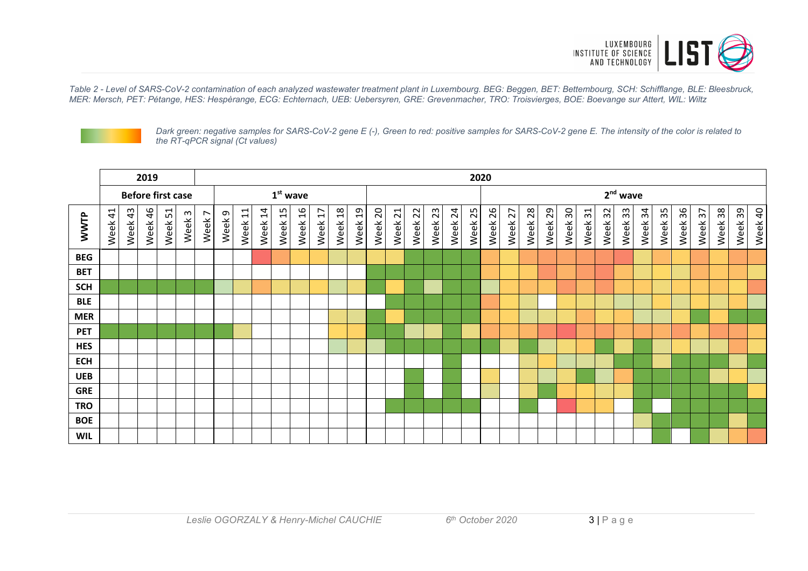

*Table 2 - Level of SARS-CoV-2 contamination of each analyzed wastewater treatment plant in Luxembourg. BEG: Beggen, BET: Bettembourg, SCH: Schifflange, BLE: Bleesbruck, MER: Mersch, PET: Pétange, HES: Hespèrange, ECG: Echternach, UEB: Uebersyren, GRE: Grevenmacher, TRO: Troisvierges, BOE: Boevange sur Attert, WIL: Wiltz*



*Dark green: negative samples for SARS-CoV-2 gene E (-), Green to red: positive samples for SARS-CoV-2 gene E. The intensity of the color is related to the RT-qPCR signal (Ct values)*

|            | 2019    |         |                          |         |                   |        |           |               |                   |               |                        |                        |                       |                        |                        |                         |                        |            |         |         |         |         |         |         | 2020    |         |         |            |         |         |         |         |         |         |         |  |  |  |
|------------|---------|---------|--------------------------|---------|-------------------|--------|-----------|---------------|-------------------|---------------|------------------------|------------------------|-----------------------|------------------------|------------------------|-------------------------|------------------------|------------|---------|---------|---------|---------|---------|---------|---------|---------|---------|------------|---------|---------|---------|---------|---------|---------|---------|--|--|--|
|            |         |         | <b>Before first case</b> |         |                   |        |           |               |                   |               | $1st$ wave             |                        |                       |                        |                        |                         |                        |            |         |         |         |         |         |         |         |         |         | $2nd$ wave |         |         |         |         |         |         |         |  |  |  |
| WWTP       | Week 41 | Week 43 | Week 46                  | Week 51 | Week <sub>3</sub> | Week 7 | G<br>Week | $\Xi$<br>Week | $\vec{a}$<br>Week | $\Xi$<br>Week | $\overline{a}$<br>Week | $\overline{1}$<br>Week | $\frac{8}{1}$<br>Week | $\overline{a}$<br>Week | $\overline{c}$<br>Week | $\overline{21}$<br>Week | $\overline{2}$<br>Week | 23<br>Week | Week 24 | Week 25 | Week 26 | Week 27 | Week 28 | Week 29 | Week 30 | Week 31 | Week 32 | Week 33    | Week 34 | Week 35 | Week 36 | Week 37 | Week 38 | Week 39 | Week 40 |  |  |  |
| <b>BEG</b> |         |         |                          |         |                   |        |           |               |                   |               |                        |                        |                       |                        |                        |                         |                        |            |         |         |         |         |         |         |         |         |         |            |         |         |         |         |         |         |         |  |  |  |
| <b>BET</b> |         |         |                          |         |                   |        |           |               |                   |               |                        |                        |                       |                        |                        |                         |                        |            |         |         |         |         |         |         |         |         |         |            |         |         |         |         |         |         |         |  |  |  |
| <b>SCH</b> |         |         |                          |         |                   |        |           |               |                   |               |                        |                        |                       |                        |                        |                         |                        |            |         |         |         |         |         |         |         |         |         |            |         |         |         |         |         |         |         |  |  |  |
| <b>BLE</b> |         |         |                          |         |                   |        |           |               |                   |               |                        |                        |                       |                        |                        |                         |                        |            |         |         |         |         |         |         |         |         |         |            |         |         |         |         |         |         |         |  |  |  |
| <b>MER</b> |         |         |                          |         |                   |        |           |               |                   |               |                        |                        |                       |                        |                        |                         |                        |            |         |         |         |         |         |         |         |         |         |            |         |         |         |         |         |         |         |  |  |  |
| <b>PET</b> |         |         |                          |         |                   |        |           |               |                   |               |                        |                        |                       |                        |                        |                         |                        |            |         |         |         |         |         |         |         |         |         |            |         |         |         |         |         |         |         |  |  |  |
| <b>HES</b> |         |         |                          |         |                   |        |           |               |                   |               |                        |                        |                       |                        |                        |                         |                        |            |         |         |         |         |         |         |         |         |         |            |         |         |         |         |         |         |         |  |  |  |
| <b>ECH</b> |         |         |                          |         |                   |        |           |               |                   |               |                        |                        |                       |                        |                        |                         |                        |            |         |         |         |         |         |         |         |         |         |            |         |         |         |         |         |         |         |  |  |  |
| <b>UEB</b> |         |         |                          |         |                   |        |           |               |                   |               |                        |                        |                       |                        |                        |                         |                        |            |         |         |         |         |         |         |         |         |         |            |         |         |         |         |         |         |         |  |  |  |
| <b>GRE</b> |         |         |                          |         |                   |        |           |               |                   |               |                        |                        |                       |                        |                        |                         |                        |            |         |         |         |         |         |         |         |         |         |            |         |         |         |         |         |         |         |  |  |  |
| <b>TRO</b> |         |         |                          |         |                   |        |           |               |                   |               |                        |                        |                       |                        |                        |                         |                        |            |         |         |         |         |         |         |         |         |         |            |         |         |         |         |         |         |         |  |  |  |
| <b>BOE</b> |         |         |                          |         |                   |        |           |               |                   |               |                        |                        |                       |                        |                        |                         |                        |            |         |         |         |         |         |         |         |         |         |            |         |         |         |         |         |         |         |  |  |  |
| <b>WIL</b> |         |         |                          |         |                   |        |           |               |                   |               |                        |                        |                       |                        |                        |                         |                        |            |         |         |         |         |         |         |         |         |         |            |         |         |         |         |         |         |         |  |  |  |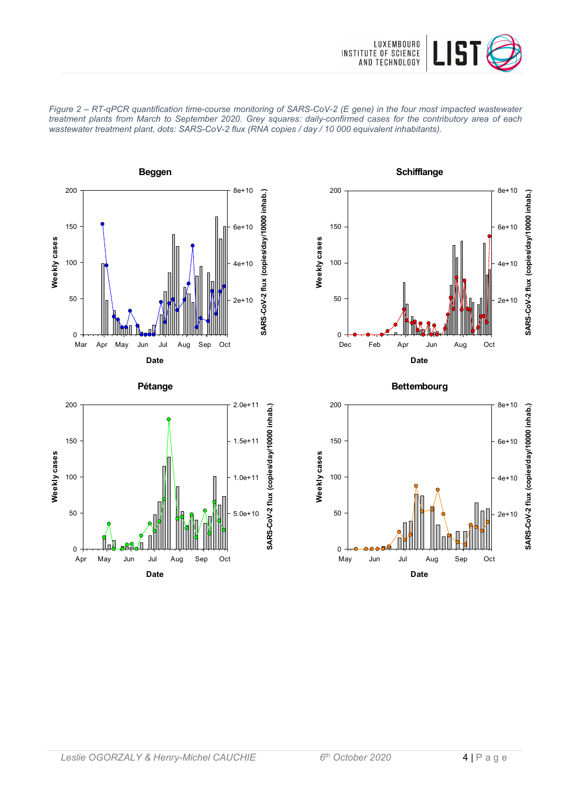











**Date** May Jun Jul Aug Sep Oct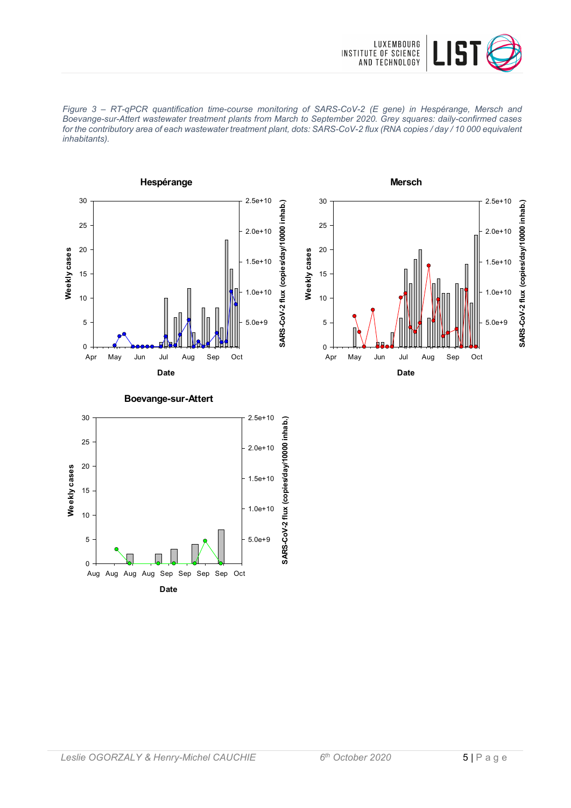







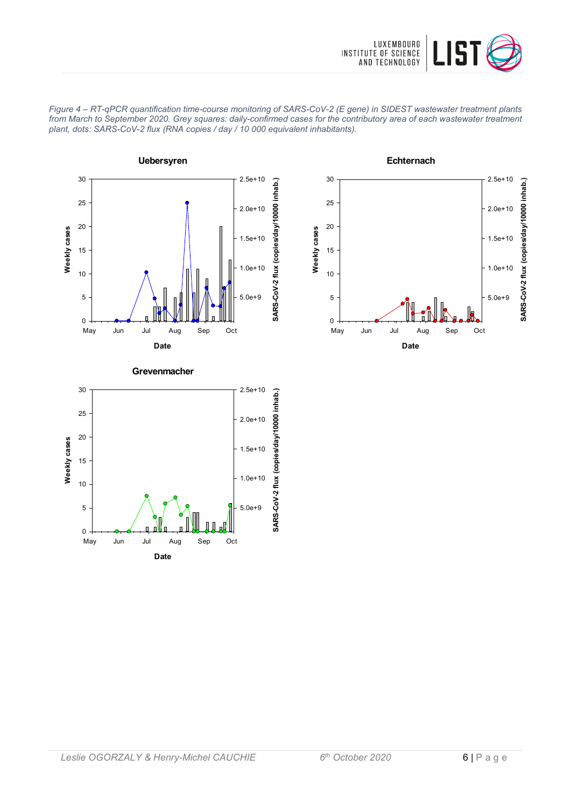







**Grevenmacher**

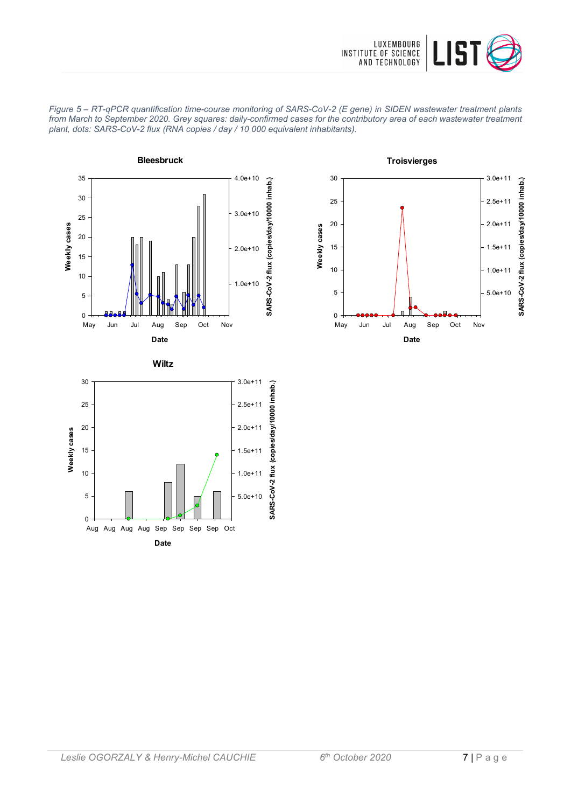



*Figure 5 – RT-qPCR quantification time-course monitoring of SARS-CoV-2 (E gene) in SIDEN wastewater treatment plants from March to September 2020. Grey squares: daily-confirmed cases for the contributory area of each wastewater treatment plant, dots: SARS-CoV-2 flux (RNA copies / day / 10 000 equivalent inhabitants).*





**Date** May Jun Jul Aug Sep Oct Nov

0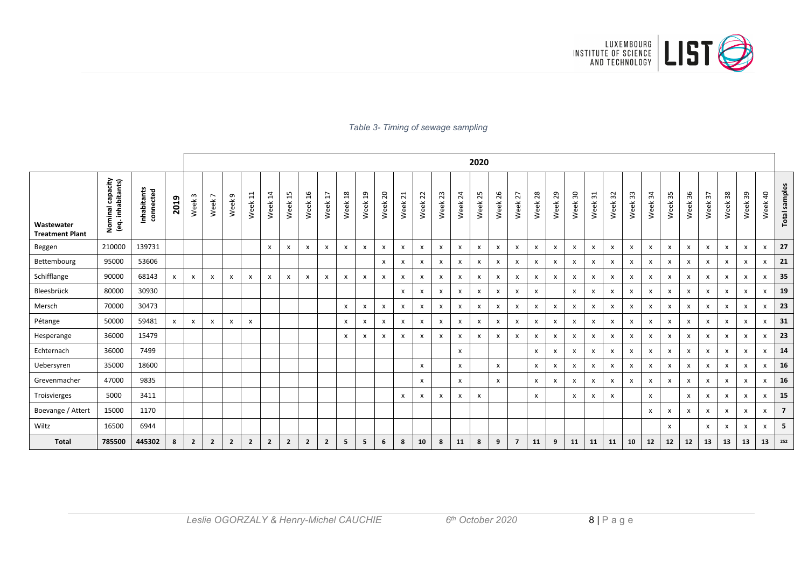

#### *Table 3- Timing of sewage sampling*

|                                      |                                       |                          |              | 2020                      |                                     |                   |                           |                           |              |                |                           |                 |         |                           |                           |              |              |                           |                    |         |                           |                           |              |                           |                           |              |                             |              |              |              |                           |                           |              |                        |                |
|--------------------------------------|---------------------------------------|--------------------------|--------------|---------------------------|-------------------------------------|-------------------|---------------------------|---------------------------|--------------|----------------|---------------------------|-----------------|---------|---------------------------|---------------------------|--------------|--------------|---------------------------|--------------------|---------|---------------------------|---------------------------|--------------|---------------------------|---------------------------|--------------|-----------------------------|--------------|--------------|--------------|---------------------------|---------------------------|--------------|------------------------|----------------|
| Wastewater<br><b>Treatment Plant</b> | Nominal capacity<br>(eq. inhabitants) | Inhabitants<br>connected | 2019         | Week <sub>3</sub>         | $\overline{ }$<br>Week <sup>-</sup> | Week <sub>9</sub> | $\Xi$<br>Week             | $\overline{1}$<br>Week    | 15<br>Week   | 16<br>Week     | L,<br>Week                | $^{28}$<br>Week | Week 19 | $\overline{20}$<br>Week   | $\overline{21}$<br>Week   | 22<br>Week   | 23<br>Week   | $\overline{24}$<br>Week   | Week <sub>25</sub> | Week 26 | 27<br>Week                | $28$<br>Week              | 29<br>Week   | $30\,$<br>Week            | $\frac{1}{2}$<br>Week     | 32<br>Week   | $33\,$<br>Week <sup>-</sup> | 34<br>Week   | 35<br>Week   | 36<br>Week   | $\mathfrak{L}$<br>Week    | Week 38                   | Week 39      | $\overline{a}$<br>Week | Total samples  |
| Beggen                               | 210000                                | 139731                   |              |                           |                                     |                   |                           | $\mathsf{x}$              | x            | x              | $\mathsf{x}$              | X               | x       | X                         | X                         | х            | x            | $\boldsymbol{\mathsf{x}}$ | X                  | x       | $\boldsymbol{\mathsf{x}}$ | $\boldsymbol{\mathsf{x}}$ | $\mathsf{x}$ | x                         | $\boldsymbol{\mathsf{x}}$ | X            | X                           | x            | X            | X            | $\mathsf{x}$              | $\boldsymbol{\mathsf{x}}$ | X            | x                      | 27             |
| Bettembourg                          | 95000                                 | 53606                    |              |                           |                                     |                   |                           |                           |              |                |                           |                 |         | $\boldsymbol{x}$          | $\boldsymbol{\mathsf{x}}$ | x            | x            | $\boldsymbol{\mathsf{x}}$ | $\mathsf{x}$       | x       | x                         | $\boldsymbol{\mathsf{x}}$ | x            | X                         | $\mathsf{x}$              | $\pmb{\chi}$ | $\mathsf{x}$                | x            | x            | X            | $\boldsymbol{\mathsf{x}}$ | $\boldsymbol{\mathsf{x}}$ | x            | x                      | 21             |
| Schifflange                          | 90000                                 | 68143                    | $\mathsf{x}$ | $\pmb{\chi}$              | $\mathsf{x}$                        | x                 | $\boldsymbol{\mathsf{x}}$ | $\boldsymbol{\mathsf{x}}$ | x            | x              | $\boldsymbol{\mathsf{x}}$ | X               | x       | X                         | $\boldsymbol{\mathsf{x}}$ | $\mathsf{x}$ | x            | $\boldsymbol{\mathsf{x}}$ | X                  | x       | X                         | X                         | $\mathsf{x}$ | $\mathsf{x}$              | $\mathsf{x}$              | X            | X                           | X            | X            | $\mathsf{x}$ | $\mathbf{x}$              | $\mathsf{x}$              | x            | x                      | 35             |
| Bleesbrück                           | 80000                                 | 30930                    |              |                           |                                     |                   |                           |                           |              |                |                           |                 |         |                           | $\boldsymbol{\mathsf{x}}$ | $\mathsf{x}$ | x            | $\boldsymbol{\mathsf{x}}$ | X                  | x       | x                         | $\boldsymbol{\mathsf{x}}$ |              | $\mathsf{x}$              | $\boldsymbol{\mathsf{x}}$ | x            | x                           | X            | X            | $\mathsf{x}$ | $\boldsymbol{\mathsf{x}}$ | $\boldsymbol{\mathsf{x}}$ | x            | x                      | 19             |
| Mersch                               | 70000                                 | 30473                    |              |                           |                                     |                   |                           |                           |              |                |                           | $\mathsf{x}$    | x       | $\boldsymbol{\mathsf{x}}$ | $\boldsymbol{\mathsf{x}}$ | $\mathsf{x}$ | $\mathsf{x}$ | $\mathsf{x}$              | $\mathsf{x}$       | x       | $\pmb{\chi}$              | $\boldsymbol{\mathsf{x}}$ | $\mathsf{x}$ | $\mathsf{x}$              | $\mathsf{x}$              | $\pmb{\chi}$ | X                           | x            | $\mathsf{x}$ | $\mathsf{x}$ | $\mathsf{x}$              | $\mathsf{x}$              | $\mathsf{x}$ | x                      | 23             |
| Pétange                              | 50000                                 | 59481                    | x            | $\boldsymbol{\mathsf{x}}$ | $\boldsymbol{\mathsf{x}}$           | x                 | $\boldsymbol{\mathsf{x}}$ |                           |              |                |                           | X               | x       | X                         | $\boldsymbol{\mathsf{x}}$ | х            | x            | $\boldsymbol{\mathsf{x}}$ | X                  | x       | x                         | $\boldsymbol{\mathsf{x}}$ | x            | x                         | $\boldsymbol{\mathsf{x}}$ | X            | X                           | X            | X            | X            | $\boldsymbol{\mathsf{x}}$ | $\boldsymbol{\mathsf{x}}$ | x            | x                      | 31             |
| Hesperange                           | 36000                                 | 15479                    |              |                           |                                     |                   |                           |                           |              |                |                           | $\mathsf{x}$    | x       | X                         | X                         | $\mathsf{x}$ | x            | x                         | X                  | x       | X                         | $\boldsymbol{\mathsf{x}}$ | x            | x                         | $\boldsymbol{\mathsf{x}}$ | X            | X                           | x            | X            | $\mathsf{x}$ | X                         | $\boldsymbol{\mathsf{x}}$ | X            | x                      | 23             |
| Echternach                           | 36000                                 | 7499                     |              |                           |                                     |                   |                           |                           |              |                |                           |                 |         |                           |                           |              |              | $\pmb{\times}$            |                    |         |                           | $\pmb{\chi}$              | x            | $\boldsymbol{\mathsf{x}}$ | $\boldsymbol{\mathsf{x}}$ | $\mathsf{x}$ | $\mathsf{x}$                | X            | X            | x            | $\pmb{\chi}$              | $\mathsf{x}$              | x            | x                      | 14             |
| Uebersyren                           | 35000                                 | 18600                    |              |                           |                                     |                   |                           |                           |              |                |                           |                 |         |                           |                           | $\mathsf{x}$ |              | $\mathsf{x}$              |                    | x       |                           | X                         | x            | $\boldsymbol{\mathsf{x}}$ | $\boldsymbol{\mathsf{x}}$ | X            | X                           | X            | X            | x            | $\mathsf{x}$              | $\boldsymbol{\mathsf{x}}$ | x            | x                      | 16             |
| Grevenmacher                         | 47000                                 | 9835                     |              |                           |                                     |                   |                           |                           |              |                |                           |                 |         |                           |                           | $\mathsf{x}$ |              | $\boldsymbol{\mathsf{x}}$ |                    | x       |                           | $\boldsymbol{\mathsf{x}}$ | x            | x                         | $\boldsymbol{\mathsf{x}}$ | x            | x                           | x            | $\mathsf{x}$ | X            | $\boldsymbol{\mathsf{x}}$ | $\boldsymbol{\mathsf{x}}$ | x            | x                      | 16             |
| Troisvierges                         | 5000                                  | 3411                     |              |                           |                                     |                   |                           |                           |              |                |                           |                 |         |                           | $\boldsymbol{\mathsf{x}}$ | х            | x            | $\mathsf{x}$              | $\mathsf{x}$       |         |                           | $\boldsymbol{\mathsf{x}}$ |              | X                         | $\mathsf{x}$              | $\mathsf{x}$ |                             | X            |              | $\mathsf{x}$ | $\boldsymbol{\mathsf{x}}$ | $\boldsymbol{\mathsf{x}}$ | $\mathsf{x}$ | x                      | 15             |
| Boevange / Attert                    | 15000                                 | 1170                     |              |                           |                                     |                   |                           |                           |              |                |                           |                 |         |                           |                           |              |              |                           |                    |         |                           |                           |              |                           |                           |              |                             | $\mathsf{x}$ | $\mathsf{x}$ | $\mathsf{x}$ | $\mathsf{x}$              | $\mathsf{x}$              | $\mathsf{x}$ | X                      | $\overline{7}$ |
| Wiltz                                | 16500                                 | 6944                     |              |                           |                                     |                   |                           |                           |              |                |                           |                 |         |                           |                           |              |              |                           |                    |         |                           |                           |              |                           |                           |              |                             |              | $\mathsf{x}$ |              | $\mathsf{x}$              | $\boldsymbol{\mathsf{x}}$ | x            | x                      | 5              |
| <b>Total</b>                         | 785500                                | 445302                   | 8            | $\overline{2}$            | $\overline{2}$                      | $\mathbf{2}$      | $\overline{2}$            | $\overline{2}$            | $\mathbf{2}$ | $\overline{2}$ | $\overline{2}$            | 5               | 5       | 6                         | 8                         | 10           | 8            | 11                        | 8                  | 9       | $\overline{ }$            | 11                        | 9            | 11                        | 11                        | 11           | 10                          | 12           | 12           | 12           | 13                        | 13                        | 13           | 13                     | 252            |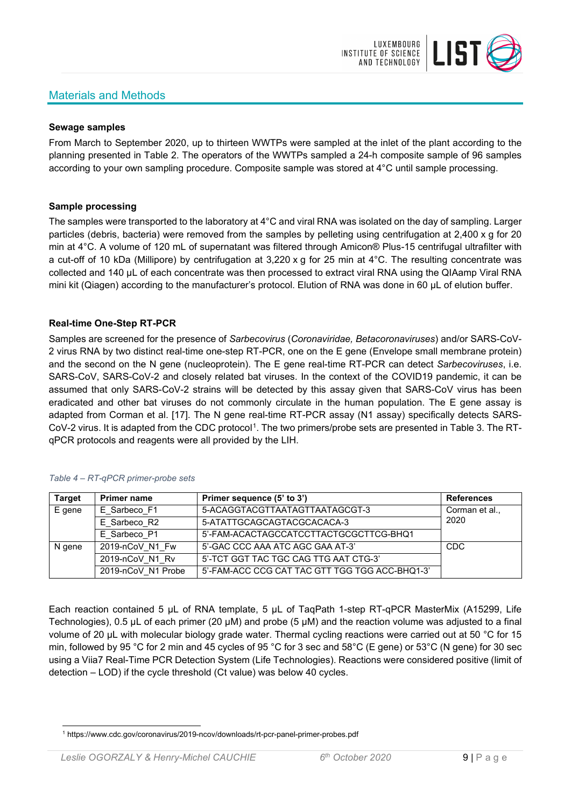# Materials and Methods



#### **Sewage samples**

From March to September 2020, up to thirteen WWTPs were sampled at the inlet of the plant according to the planning presented in Table 2. The operators of the WWTPs sampled a 24-h composite sample of 96 samples according to your own sampling procedure. Composite sample was stored at 4°C until sample processing.

### **Sample processing**

The samples were transported to the laboratory at 4°C and viral RNA was isolated on the day of sampling. Larger particles (debris, bacteria) were removed from the samples by pelleting using centrifugation at 2,400 x g for 20 min at 4°C. A volume of 120 mL of supernatant was filtered through Amicon® Plus-15 centrifugal ultrafilter with a cut-off of 10 kDa (Millipore) by centrifugation at 3,220 x g for 25 min at 4°C. The resulting concentrate was collected and 140 µL of each concentrate was then processed to extract viral RNA using the QIAamp Viral RNA mini kit (Qiagen) according to the manufacturer's protocol. Elution of RNA was done in 60 μL of elution buffer.

### **Real-time One-Step RT-PCR**

Samples are screened for the presence of *Sarbecovirus* (*Coronaviridae, Betacoronaviruses*) and/or SARS-CoV-2 virus RNA by two distinct real-time one-step RT-PCR, one on the E gene (Envelope small membrane protein) and the second on the N gene (nucleoprotein). The E gene real-time RT-PCR can detect *Sarbecoviruses*, i.e. SARS-CoV, SARS-CoV-2 and closely related bat viruses. In the context of the COVID19 pandemic, it can be assumed that only SARS-CoV-2 strains will be detected by this assay given that SARS-CoV virus has been eradicated and other bat viruses do not commonly circulate in the human population. The E gene assay is adapted from Corman et al. [17]. The N gene real-time RT-PCR assay (N1 assay) specifically detects SARS-CoV-2 virus. It is adapted from the CDC protocol[1](#page-8-0). The two primers/probe sets are presented in Table 3. The RTqPCR protocols and reagents were all provided by the LIH.

| <b>Target</b> | <b>Primer name</b> | Primer sequence (5' to 3')                     | <b>References</b> |  |  |  |  |  |  |  |
|---------------|--------------------|------------------------------------------------|-------------------|--|--|--|--|--|--|--|
| E gene        | E Sarbeco F1       | 5-ACAGGTACGTTAATAGTTAATAGCGT-3                 |                   |  |  |  |  |  |  |  |
|               | E Sarbeco R2       | 5-ATATTGCAGCAGTACGCACACA-3                     | 2020              |  |  |  |  |  |  |  |
|               | E Sarbeco P1       | 5'-FAM-ACACTAGCCATCCTTACTGCGCTTCG-BHQ1         |                   |  |  |  |  |  |  |  |
| N gene        | 2019-nCoV N1 Fw    | 5'-GAC CCC AAA ATC AGC GAA AT-3'               | <b>CDC</b>        |  |  |  |  |  |  |  |
|               | 2019-nCoV N1 Rv    | 5'-TCT GGT TAC TGC CAG TTG AAT CTG-3'          |                   |  |  |  |  |  |  |  |
|               | 2019-nCoV N1 Probe | 5'-FAM-ACC CCG CAT TAC GTT TGG TGG ACC-BHQ1-3' |                   |  |  |  |  |  |  |  |

#### *Table 4 – RT-qPCR primer-probe sets*

Each reaction contained 5 μL of RNA template, 5 μL of TaqPath 1-step RT-qPCR MasterMix (A15299, Life Technologies), 0.5 µL of each primer (20 µM) and probe (5 µM) and the reaction volume was adjusted to a final volume of 20 μL with molecular biology grade water. Thermal cycling reactions were carried out at 50 °C for 15 min, followed by 95 °C for 2 min and 45 cycles of 95 °C for 3 sec and 58°C (E gene) or 53°C (N gene) for 30 sec using a Viia7 Real-Time PCR Detection System (Life Technologies). Reactions were considered positive (limit of detection – LOD) if the cycle threshold (Ct value) was below 40 cycles.

<span id="page-8-0"></span><sup>1</sup> https://www.cdc.gov/coronavirus/2019-ncov/downloads/rt-pcr-panel-primer-probes.pdf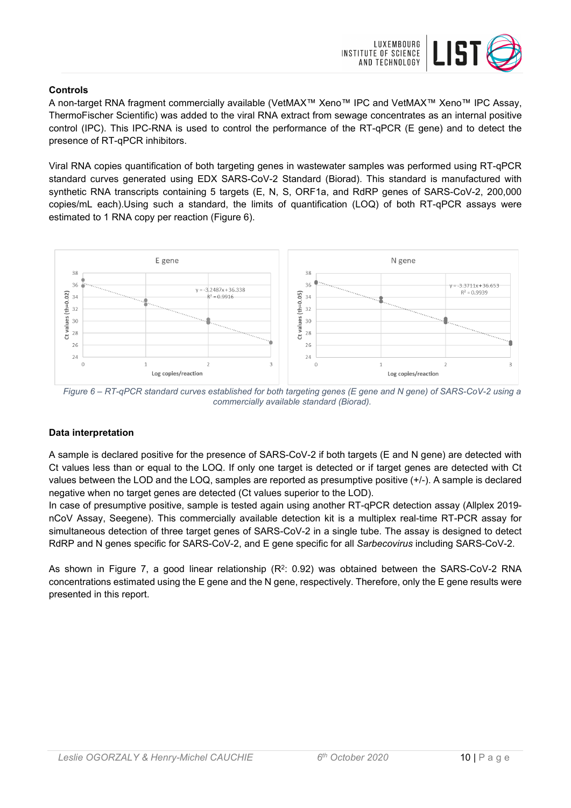

### **Controls**

A non-target RNA fragment commercially available (VetMAX™ Xeno™ IPC and VetMAX™ Xeno™ IPC Assay, ThermoFischer Scientific) was added to the viral RNA extract from sewage concentrates as an internal positive control (IPC). This IPC-RNA is used to control the performance of the RT-qPCR (E gene) and to detect the presence of RT-qPCR inhibitors.

Viral RNA copies quantification of both targeting genes in wastewater samples was performed using RT-qPCR standard curves generated using EDX SARS-CoV-2 Standard (Biorad). This standard is manufactured with synthetic RNA transcripts containing 5 targets (E, N, S, ORF1a, and RdRP genes of SARS-CoV-2, 200,000 copies/mL each).Using such a standard, the limits of quantification (LOQ) of both RT-qPCR assays were estimated to 1 RNA copy per reaction (Figure 6).



*Figure 6 – RT-qPCR standard curves established for both targeting genes (E gene and N gene) of SARS-CoV-2 using a commercially available standard (Biorad).*

#### **Data interpretation**

A sample is declared positive for the presence of SARS-CoV-2 if both targets (E and N gene) are detected with Ct values less than or equal to the LOQ. If only one target is detected or if target genes are detected with Ct values between the LOD and the LOQ, samples are reported as presumptive positive (+/-). A sample is declared negative when no target genes are detected (Ct values superior to the LOD).

In case of presumptive positive, sample is tested again using another RT-qPCR detection assay (Allplex 2019 nCoV Assay, Seegene). This commercially available detection kit is a multiplex real-time RT-PCR assay for simultaneous detection of three target genes of SARS-CoV-2 in a single tube. The assay is designed to detect RdRP and N genes specific for SARS-CoV-2, and E gene specific for all *Sarbecovirus* including SARS-CoV-2.

As shown in Figure 7, a good linear relationship  $(R^2: 0.92)$  was obtained between the SARS-CoV-2 RNA concentrations estimated using the E gene and the N gene, respectively. Therefore, only the E gene results were presented in this report.